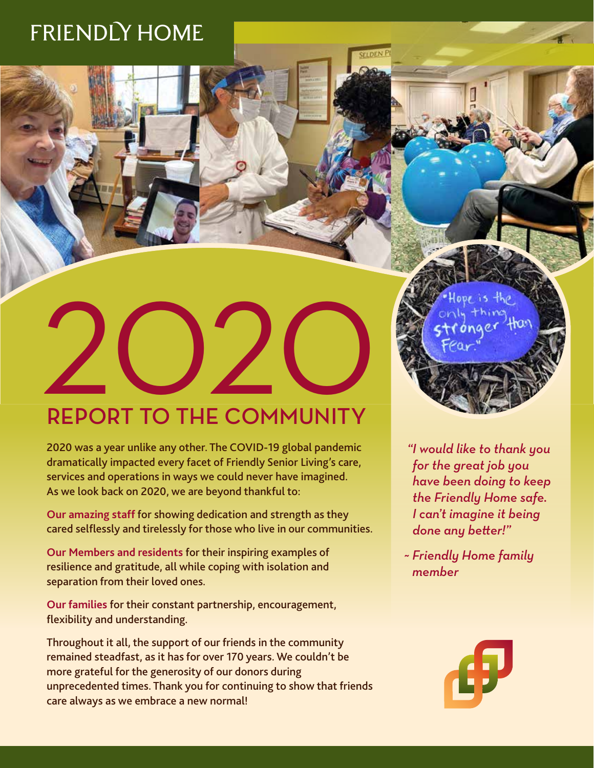# FRIENDLY HOME

# REPORT TO THE COMMUNITY

2020 was a year unlike any other. The COVID-19 global pandemic dramatically impacted every facet of Friendly Senior Living's care, services and operations in ways we could never have imagined. As we look back on 2020, we are beyond thankful to:

**Our amazing staff** for showing dedication and strength as they cared selflessly and tirelessly for those who live in our communities.

**Our Members and residents** for their inspiring examples of resilience and gratitude, all while coping with isolation and separation from their loved ones.

**Our families** for their constant partnership, encouragement, flexibility and understanding.

Throughout it all, the support of our friends in the community remained steadfast, as it has for over 170 years. We couldn't be more grateful for the generosity of our donors during unprecedented times. Thank you for continuing to show that friends care always as we embrace a new normal!

 *"I would like to thank you for the great job you have been doing to keep the Friendly Home safe. I can't imagine it being done any better!"* 

*~ Friendly Home family member*

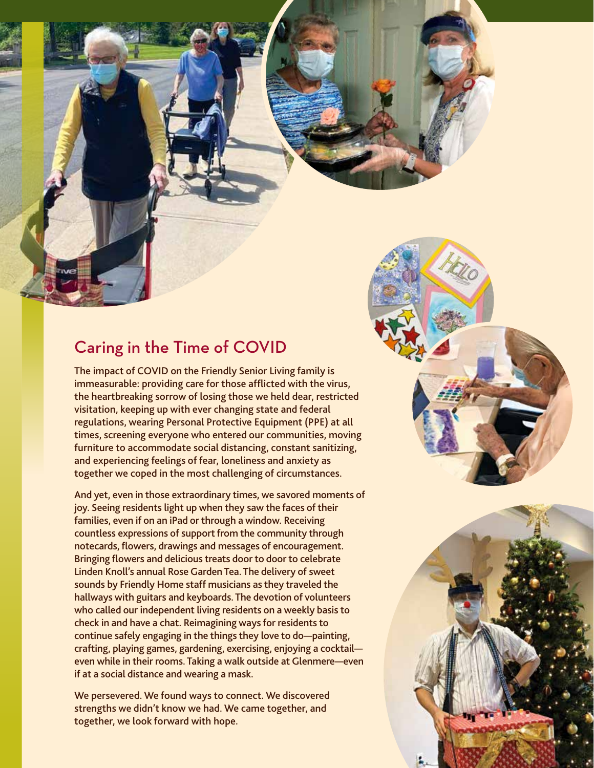## Caring in the Time of COVID

The impact of COVID on the Friendly Senior Living family is immeasurable: providing care for those afflicted with the virus, the heartbreaking sorrow of losing those we held dear, restricted visitation, keeping up with ever changing state and federal regulations, wearing Personal Protective Equipment (PPE) at all times, screening everyone who entered our communities, moving furniture to accommodate social distancing, constant sanitizing, and experiencing feelings of fear, loneliness and anxiety as together we coped in the most challenging of circumstances.

And yet, even in those extraordinary times, we savored moments of joy. Seeing residents light up when they saw the faces of their families, even if on an iPad or through a window. Receiving countless expressions of support from the community through notecards, flowers, drawings and messages of encouragement. Bringing flowers and delicious treats door to door to celebrate Linden Knoll's annual Rose Garden Tea. The delivery of sweet sounds by Friendly Home staff musicians as they traveled the hallways with guitars and keyboards. The devotion of volunteers who called our independent living residents on a weekly basis to check in and have a chat. Reimagining ways for residents to continue safely engaging in the things they love to do—painting, crafting, playing games, gardening, exercising, enjoying a cocktail even while in their rooms. Taking a walk outside at Glenmere—even if at a social distance and wearing a mask.

We persevered. We found ways to connect. We discovered strengths we didn't know we had. We came together, and together, we look forward with hope.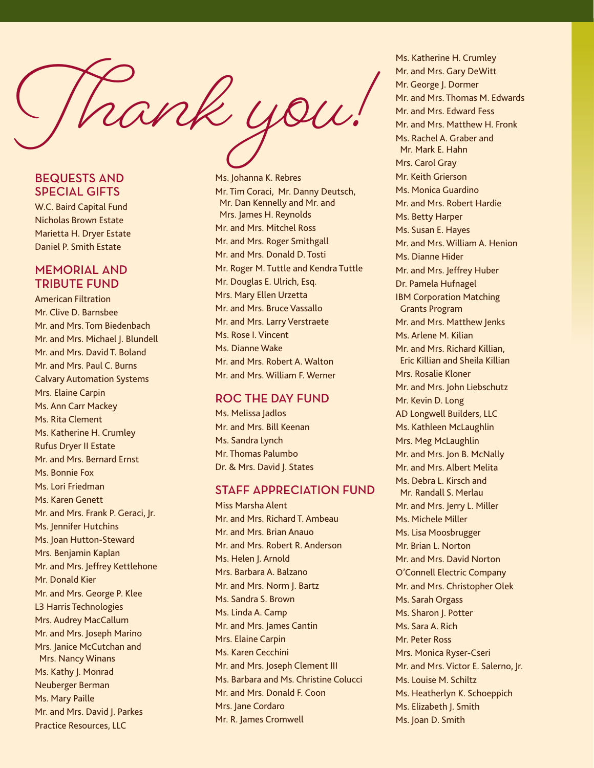$m$ k you

## BEQUESTS AND SPECIAL GIFTS

W.C. Baird Capital Fund Nicholas Brown Estate Marietta H. Dryer Estate Daniel P. Smith Estate

#### MEMORIAL AND TRIBUTE FUND

American Filtration Mr. Clive D. Barnsbee Mr. and Mrs. Tom Biedenbach Mr. and Mrs. Michael J. Blundell Mr. and Mrs. David T. Boland Mr. and Mrs. Paul C. Burns Calvary Automation Systems Mrs. Elaine Carpin Ms. Ann Carr Mackey Ms. Rita Clement Ms. Katherine H. Crumley Rufus Dryer II Estate Mr. and Mrs. Bernard Ernst Ms. Bonnie Fox Ms. Lori Friedman Ms. Karen Genett Mr. and Mrs. Frank P. Geraci, Jr. Ms. Jennifer Hutchins Ms. Joan Hutton-Steward Mrs. Benjamin Kaplan Mr. and Mrs. Jeffrey Kettlehone Mr. Donald Kier Mr. and Mrs. George P. Klee L3 Harris Technologies Mrs. Audrey MacCallum Mr. and Mrs. Joseph Marino Mrs. Janice McCutchan and Mrs. Nancy Winans Ms. Kathy J. Monrad Neuberger Berman Ms. Mary Paille Mr. and Mrs. David J. Parkes Practice Resources, LLC

Ms. Johanna K. Rebres Mr. Tim Coraci, Mr. Danny Deutsch, Mr. Dan Kennelly and Mr. and Mrs. James H. Reynolds Mr. and Mrs. Mitchel Ross Mr. and Mrs. Roger Smithgall Mr. and Mrs. Donald D. Tosti Mr. Roger M. Tuttle and Kendra Tuttle Mr. Douglas E. Ulrich, Esq. Mrs. Mary Ellen Urzetta Mr. and Mrs. Bruce Vassallo Mr. and Mrs. Larry Verstraete Ms. Rose I. Vincent Ms. Dianne Wake Mr. and Mrs. Robert A. Walton Mr. and Mrs. William F. Werner

#### ROC THE DAY FUND

Ms. Melissa Jadlos Mr. and Mrs. Bill Keenan Ms. Sandra Lynch Mr. Thomas Palumbo Dr. & Mrs. David J. States

## STAFF APPRECIATION FUND

Miss Marsha Alent Mr. and Mrs. Richard T. Ambeau Mr. and Mrs. Brian Anauo Mr. and Mrs. Robert R. Anderson Ms. Helen I. Arnold Mrs. Barbara A. Balzano Mr. and Mrs. Norm J. Bartz Ms. Sandra S. Brown Ms. Linda A. Camp Mr. and Mrs. James Cantin Mrs. Elaine Carpin Ms. Karen Cecchini Mr. and Mrs. Joseph Clement III Ms. Barbara and Ms. Christine Colucci Mr. and Mrs. Donald F. Coon Mrs. Jane Cordaro Mr. R. James Cromwell

Ms. Katherine H. Crumley Mr. and Mrs. Gary DeWitt Mr. George J. Dormer Mr. and Mrs. Thomas M. Edwards Mr. and Mrs. Edward Fess Mr. and Mrs. Matthew H. Fronk Ms. Rachel A. Graber and Mr. Mark E. Hahn Mrs. Carol Gray Mr. Keith Grierson Ms. Monica Guardino Mr. and Mrs. Robert Hardie Ms. Betty Harper Ms. Susan E. Hayes Mr. and Mrs. William A. Henion Ms. Dianne Hider Mr. and Mrs. Jeffrey Huber Dr. Pamela Hufnagel IBM Corporation Matching Grants Program Mr. and Mrs. Matthew Jenks Ms. Arlene M. Kilian Mr. and Mrs. Richard Killian, Eric Killian and Sheila Killian Mrs. Rosalie Kloner Mr. and Mrs. John Liebschutz Mr. Kevin D. Long AD Longwell Builders, LLC Ms. Kathleen McLaughlin Mrs. Meg McLaughlin Mr. and Mrs. Jon B. McNally Mr. and Mrs. Albert Melita Ms. Debra L. Kirsch and Mr. Randall S. Merlau Mr. and Mrs. Jerry L. Miller Ms. Michele Miller Ms. Lisa Moosbrugger Mr. Brian L. Norton Mr. and Mrs. David Norton O'Connell Electric Company Mr. and Mrs. Christopher Olek Ms. Sarah Orgass Ms. Sharon J. Potter Ms. Sara A. Rich Mr. Peter Ross Mrs. Monica Ryser-Cseri Mr. and Mrs. Victor E. Salerno, Jr. Ms. Louise M. Schiltz Ms. Heatherlyn K. Schoeppich Ms. Elizabeth J. Smith Ms. Joan D. Smith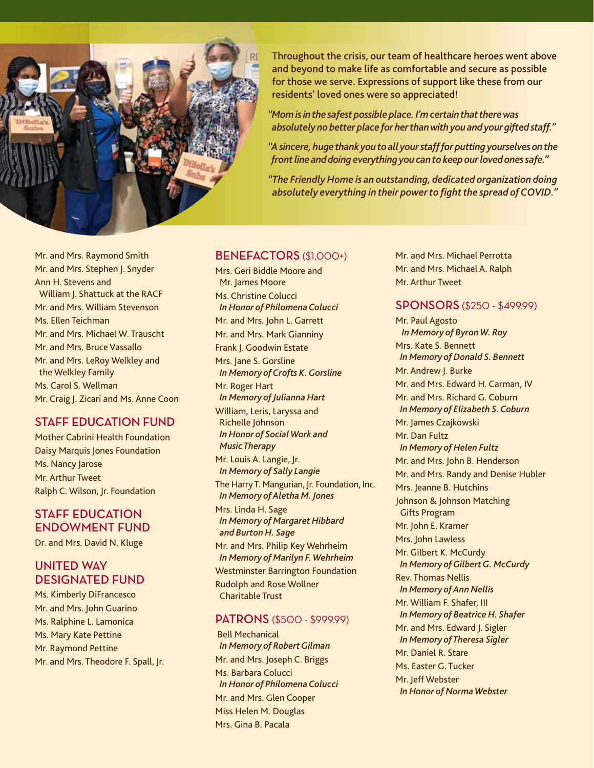

Throughout the crisis, our team of healthcare heroes went above and beyond to make life as comfortable and secure as possible for those we serve. Expressions of support like these from our residents' loved ones were so appreciated!

*"Mom is in the safest possible place. I'm certain that there was absolutely no better place for her than with you and your gifted staff."*

*"A sincere, huge thank you to all your staff for putting yourselves on the front line and doing everything you can to keep our loved ones safe."*

*"The Friendly Home is an outstanding, dedicated organization doing absolutely everything in their power to fight the spread of COVID."*

Mr. and Mrs. Raymond Smith Mr. and Mrs. Stephen J. Snyder Ann H. Stevens and William J. Shattuck at the RACF Mr. and Mrs. William Stevenson Ms. Ellen Teichman Mr. and Mrs. Michael W. Trauscht Mr. and Mrs. Bruce Vassallo Mr. and Mrs. LeRoy Welkley and the Welkley Family Ms. Carol S. Wellman Mr. Craig J. Zicari and Ms. Anne Coon

## STAFF EDUCATION FUND

Mother Cabrini Health Foundation Daisy Marquis Jones Foundation Ms. Nancy Jarose Mr. Arthur Tweet Ralph C. Wilson, Jr. Foundation

## STAFF EDUCATION ENDOWMENT FUND

Dr. and Mrs. David N. Kluge

## UNITED WAY DESIGNATED FUND

Ms. Kimberly DiFrancesco Mr. and Mrs. John Guarino Ms. Ralphine L. Lamonica Ms. Mary Kate Pettine Mr. Raymond Pettine Mr. and Mrs. Theodore F. Spall, Jr.

#### BENEFACTORS (\$1,000+)

Mrs. Geri Biddle Moore and Mr. James Moore Ms. Christine Colucci *In Honor of Philomena Colucci* Mr. and Mrs. John L. Garrett Mr. and Mrs. Mark Gianniny Frank J. Goodwin Estate Mrs. Jane S. Gorsline *In Memory of Crofts K. Gorsline* Mr. Roger Hart *In Memory of Julianna Hart* William, Leris, Laryssa and Richelle Johnson *In Honor of Social Work and Music Therapy* Mr. Louis A. Langie, Jr. *In Memory of Sally Langie* The Harry T. Mangurian, Jr. Foundation, Inc. *In Memory of Aletha M. Jones* Mrs. Linda H. Sage *In Memory of Margaret Hibbard and Burton H. Sage* Mr. and Mrs. Philip Key Wehrheim *In Memory of Marilyn F. Wehrheim* Westminster Barrington Foundation Rudolph and Rose Wollner Charitable Trust

#### PATRONS (\$500 - \$999.99)

 Bell Mechanical *In Memory of Robert Gilman* Mr. and Mrs. Joseph C. Briggs Ms. Barbara Colucci *In Honor of Philomena Colucci* Mr. and Mrs. Glen Cooper Miss Helen M. Douglas Mrs. Gina B. Pacala

Mr. and Mrs. Michael Perrotta Mr. and Mrs. Michael A. Ralph Mr. Arthur Tweet

## SPONSORS (\$250 - \$499.99)

Mr. Paul Agosto  *In Memory of Byron W. Roy* Mrs. Kate S. Bennett *In Memory of Donald S. Bennett* Mr. Andrew J. Burke Mr. and Mrs. Edward H. Carman, IV Mr. and Mrs. Richard G. Coburn *In Memory of Elizabeth S. Coburn* Mr. James Czajkowski Mr. Dan Fultz *In Memory of Helen Fultz* Mr. and Mrs. John B. Henderson Mr. and Mrs. Randy and Denise Hubler Mrs. Jeanne B. Hutchins Johnson & Johnson Matching Gifts Program Mr. John E. Kramer Mrs. John Lawless Mr. Gilbert K. McCurdy *In Memory of Gilbert G. McCurdy* Rev. Thomas Nellis *In Memory of Ann Nellis* Mr. William F. Shafer, III *In Memory of Beatrice H. Shafer* Mr. and Mrs. Edward J. Sigler *In Memory of Theresa Sigler* Mr. Daniel R. Stare Ms. Easter G. Tucker Mr. Jeff Webster *In Honor of Norma Webster*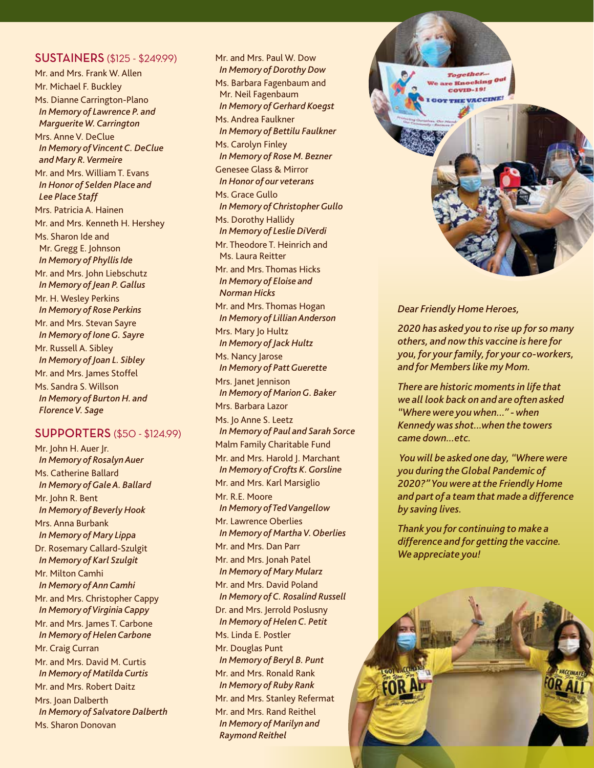#### SUSTAINERS (\$125 - \$249.99)

Mr. and Mrs. Frank W. Allen Mr. Michael F. Buckley Ms. Dianne Carrington-Plano *In Memory of Lawrence P. and Marguerite W. Carrington* Mrs. Anne V. DeClue *In Memory of Vincent C. DeClue and Mary R. Vermeire* Mr. and Mrs. William T. Evans *In Honor of Selden Place and Lee Place Staff* Mrs. Patricia A. Hainen Mr. and Mrs. Kenneth H. Hershey Ms. Sharon Ide and Mr. Gregg E. Johnson *In Memory of Phyllis Ide* Mr. and Mrs. John Liebschutz *In Memory of Jean P. Gallus* Mr. H. Wesley Perkins *In Memory of Rose Perkins* Mr. and Mrs. Stevan Sayre *In Memory of Ione G. Sayre* Mr. Russell A. Sibley *In Memory of Joan L. Sibley* Mr. and Mrs. James Stoffel Ms. Sandra S. Willson *In Memory of Burton H. and Florence V. Sage*

#### SUPPORTERS (\$50 - \$124.99)

Mr. John H. Auer Jr. *In Memory of Rosalyn Auer* Ms. Catherine Ballard *In Memory of Gale A. Ballard* Mr. John R. Bent *In Memory of Beverly Hook* Mrs. Anna Burbank *In Memory of Mary Lippa* Dr. Rosemary Callard-Szulgit *In Memory of Karl Szulgit* Mr. Milton Camhi *In Memory of Ann Camhi* Mr. and Mrs. Christopher Cappy *In Memory of Virginia Cappy* Mr. and Mrs. James T. Carbone *In Memory of Helen Carbone* Mr. Craig Curran Mr. and Mrs. David M. Curtis *In Memory of Matilda Curtis* Mr. and Mrs. Robert Daitz Mrs. Joan Dalberth *In Memory of Salvatore Dalberth* Ms. Sharon Donovan

Mr. and Mrs. Paul W. Dow *In Memory of Dorothy Dow* Ms. Barbara Fagenbaum and Mr. Neil Fagenbaum *In Memory of Gerhard Koegst* Ms. Andrea Faulkner *In Memory of Bettilu Faulkner* Ms. Carolyn Finley *In Memory of Rose M. Bezner* Genesee Glass & Mirror *In Honor of our veterans* Ms. Grace Gullo *In Memory of Christopher Gullo* Ms. Dorothy Hallidy *In Memory of Leslie DiVerdi* Mr. Theodore T. Heinrich and Ms. Laura Reitter Mr. and Mrs. Thomas Hicks *In Memory of Eloise and Norman Hicks* Mr. and Mrs. Thomas Hogan *In Memory of Lillian Anderson* Mrs. Mary Jo Hultz *In Memory of Jack Hultz* Ms. Nancy Jarose *In Memory of Patt Guerette* Mrs. Janet Jennison *In Memory of Marion G. Baker* Mrs. Barbara Lazor Ms. Jo Anne S. Leetz *In Memory of Paul and Sarah Sorce* Malm Family Charitable Fund Mr. and Mrs. Harold J. Marchant *In Memory of Crofts K. Gorsline* Mr. and Mrs. Karl Marsiglio Mr. R.E. Moore *In Memory of Ted Vangellow* Mr. Lawrence Oberlies *In Memory of Martha V. Oberlies* Mr. and Mrs. Dan Parr Mr. and Mrs. Jonah Patel *In Memory of Mary Mularz* Mr. and Mrs. David Poland *In Memory of C. Rosalind Russell* Dr. and Mrs. Jerrold Poslusny *In Memory of Helen C. Petit* Ms. Linda E. Postler Mr. Douglas Punt *In Memory of Beryl B. Punt* Mr. and Mrs. Ronald Rank *In Memory of Ruby Rank* Mr. and Mrs. Stanley Refermat Mr. and Mrs. Rand Reithel *In Memory of Marilyn and Raymond Reithel*



#### *Dear Friendly Home Heroes,*

*2020 has asked you to rise up for so many others, and now this vaccine is here for you, for your family, for your co-workers, and for Members like my Mom.*

*There are historic moments in life that we all look back on and are often asked "Where were you when..." - when Kennedy was shot...when the towers came down...etc.*

 *You will be asked one day, "Where were you during the Global Pandemic of 2020?" You were at the Friendly Home and part of a team that made a difference by saving lives.* 

*Thank you for continuing to make a difference and for getting the vaccine. We appreciate you!*

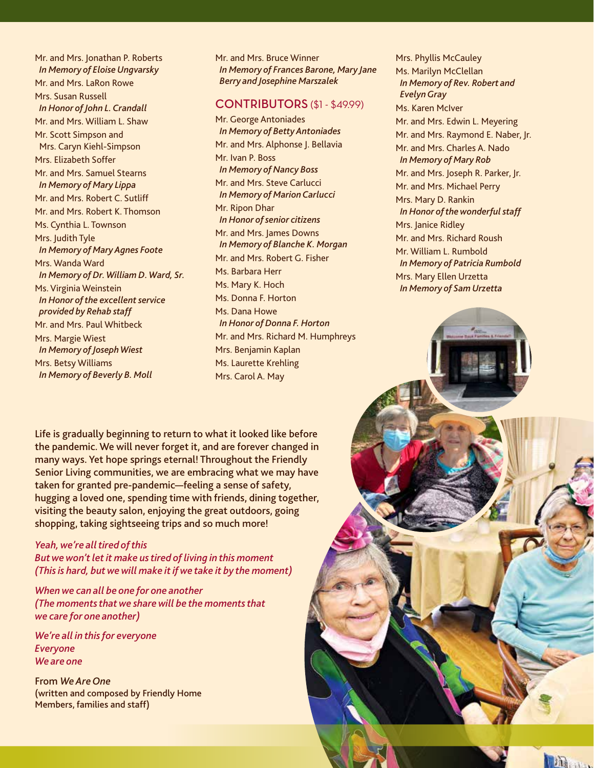Mr. and Mrs. Jonathan P. Roberts *In Memory of Eloise Ungvarsky* Mr. and Mrs. LaRon Rowe Mrs. Susan Russell *In Honor of John L. Crandall* Mr. and Mrs. William L. Shaw Mr. Scott Simpson and Mrs. Caryn Kiehl-Simpson Mrs. Elizabeth Soffer Mr. and Mrs. Samuel Stearns *In Memory of Mary Lippa* Mr. and Mrs. Robert C. Sutliff Mr. and Mrs. Robert K. Thomson Ms. Cynthia L. Townson Mrs. Judith Tyle *In Memory of Mary Agnes Foote* Mrs. Wanda Ward *In Memory of Dr. William D. Ward, Sr.* Ms. Virginia Weinstein *In Honor of the excellent service provided by Rehab staff* Mr. and Mrs. Paul Whitbeck Mrs. Margie Wiest *In Memory of Joseph Wiest* Mrs. Betsy Williams *In Memory of Beverly B. Moll*

Mr. and Mrs. Bruce Winner *In Memory of Frances Barone, Mary Jane Berry and Josephine Marszalek*

#### CONTRIBUTORS (\$1 - \$49.99)

Mr. George Antoniades *In Memory of Betty Antoniades* Mr. and Mrs. Alphonse J. Bellavia Mr. Ivan P. Boss *In Memory of Nancy Boss* Mr. and Mrs. Steve Carlucci *In Memory of Marion Carlucci* Mr. Ripon Dhar *In Honor of senior citizens* Mr. and Mrs. James Downs *In Memory of Blanche K. Morgan* Mr. and Mrs. Robert G. Fisher Ms. Barbara Herr Ms. Mary K. Hoch Ms. Donna F. Horton Ms. Dana Howe *In Honor of Donna F. Horton* Mr. and Mrs. Richard M. Humphreys Mrs. Benjamin Kaplan Ms. Laurette Krehling Mrs. Carol A. May

Mrs. Phyllis McCauley Ms. Marilyn McClellan *In Memory of Rev. Robert and Evelyn Gray* Ms. Karen McIver Mr. and Mrs. Edwin L. Meyering Mr. and Mrs. Raymond E. Naber, Jr. Mr. and Mrs. Charles A. Nado *In Memory of Mary Rob* Mr. and Mrs. Joseph R. Parker, Jr. Mr. and Mrs. Michael Perry Mrs. Mary D. Rankin *In Honor of the wonderful staff* Mrs. Janice Ridley Mr. and Mrs. Richard Roush Mr. William L. Rumbold *In Memory of Patricia Rumbold* Mrs. Mary Ellen Urzetta *In Memory of Sam Urzetta*

ha ...

Life is gradually beginning to return to what it looked like before the pandemic. We will never forget it, and are forever changed in many ways. Yet hope springs eternal! Throughout the Friendly Senior Living communities, we are embracing what we may have taken for granted pre-pandemic—feeling a sense of safety, hugging a loved one, spending time with friends, dining together, visiting the beauty salon, enjoying the great outdoors, going shopping, taking sightseeing trips and so much more!

## *Yeah, we're all tired of this*

*But we won't let it make us tired of living in this moment (This is hard, but we will make it if we take it by the moment)*

*When we can all be one for one another (The moments that we share will be the moments that we care for one another)*

*We're all in this for everyone Everyone We are one*

From *We Are One* (written and composed by Friendly Home Members, families and staff)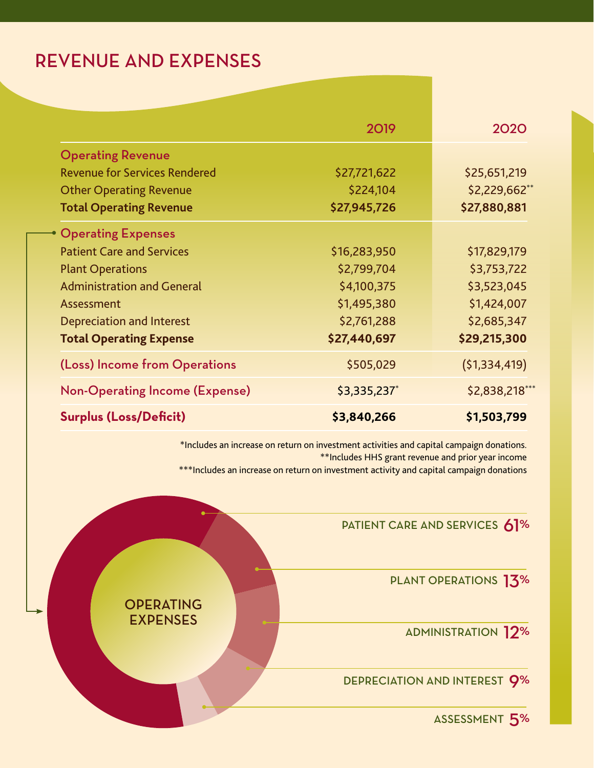# REVENUE AND EXPENSES

|                                       | 2019         | 2020           |
|---------------------------------------|--------------|----------------|
| <b>Operating Revenue</b>              |              |                |
| <b>Revenue for Services Rendered</b>  | \$27,721,622 | \$25,651,219   |
| <b>Other Operating Revenue</b>        | \$224,104    | \$2,229,662**  |
| <b>Total Operating Revenue</b>        | \$27,945,726 | \$27,880,881   |
| <b>Operating Expenses</b>             |              |                |
| <b>Patient Care and Services</b>      | \$16,283,950 | \$17,829,179   |
| <b>Plant Operations</b>               | \$2,799,704  | \$3,753,722    |
| <b>Administration and General</b>     | \$4,100,375  | \$3,523,045    |
| Assessment                            | \$1,495,380  | \$1,424,007    |
| <b>Depreciation and Interest</b>      | \$2,761,288  | \$2,685,347    |
| <b>Total Operating Expense</b>        | \$27,440,697 | \$29,215,300   |
| (Loss) Income from Operations         | \$505,029    | (51, 334, 419) |
| <b>Non-Operating Income (Expense)</b> | \$3,335,237* | \$2,838,218*** |
| <b>Surplus (Loss/Deficit)</b>         | \$3,840,266  | \$1,503,799    |

\*Includes an increase on return on investment activities and capital campaign donations. \*\*Includes HHS grant revenue and prior year income \*\*\*Includes an increase on return on investment activity and capital campaign donations